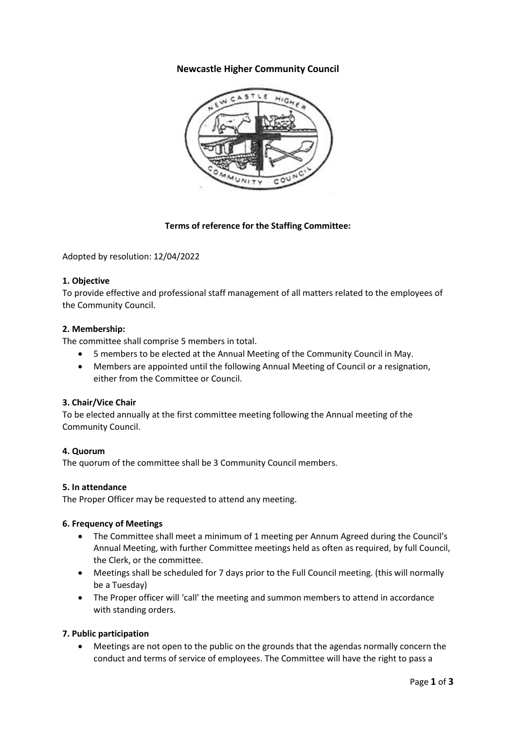# **Newcastle Higher Community Council**



# **Terms of reference for the Staffing Committee:**

Adopted by resolution: 12/04/2022

# **1. Objective**

To provide effective and professional staff management of all matters related to the employees of the Community Council.

#### **2. Membership:**

The committee shall comprise 5 members in total.

- 5 members to be elected at the Annual Meeting of the Community Council in May.
- Members are appointed until the following Annual Meeting of Council or a resignation, either from the Committee or Council.

# **3. Chair/Vice Chair**

To be elected annually at the first committee meeting following the Annual meeting of the Community Council.

# **4. Quorum**

The quorum of the committee shall be 3 Community Council members.

# **5. In attendance**

The Proper Officer may be requested to attend any meeting.

# **6. Frequency of Meetings**

- The Committee shall meet a minimum of 1 meeting per Annum Agreed during the Council's Annual Meeting, with further Committee meetings held as often as required, by full Council, the Clerk, or the committee.
- Meetings shall be scheduled for 7 days prior to the Full Council meeting. (this will normally be a Tuesday)
- The Proper officer will 'call' the meeting and summon members to attend in accordance with standing orders.

# **7. Public participation**

• Meetings are not open to the public on the grounds that the agendas normally concern the conduct and terms of service of employees. The Committee will have the right to pass a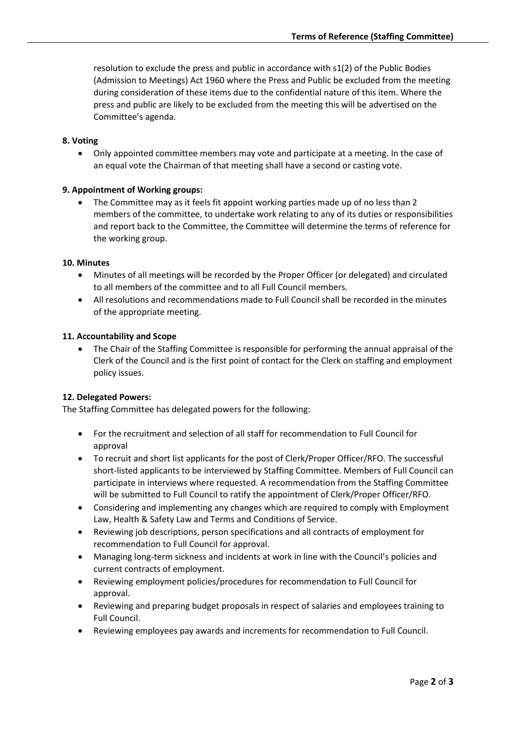resolution to exclude the press and public in accordance with s1(2) of the Public Bodies (Admission to Meetings) Act 1960 where the Press and Public be excluded from the meeting during consideration of these items due to the confidential nature of this item. Where the press and public are likely to be excluded from the meeting this will be advertised on the Committee's agenda.

#### **8. Voting**

• Only appointed committee members may vote and participate at a meeting. In the case of an equal vote the Chairman of that meeting shall have a second or casting vote.

#### **9. Appointment of Working groups:**

The Committee may as it feels fit appoint working parties made up of no less than 2 members of the committee, to undertake work relating to any of its duties or responsibilities and report back to the Committee, the Committee will determine the terms of reference for the working group.

#### **10. Minutes**

- Minutes of all meetings will be recorded by the Proper Officer (or delegated) and circulated to all members of the committee and to all Full Council members.
- All resolutions and recommendations made to Full Council shall be recorded in the minutes of the appropriate meeting.

#### **11. Accountability and Scope**

• The Chair of the Staffing Committee is responsible for performing the annual appraisal of the Clerk of the Council and is the first point of contact for the Clerk on staffing and employment policy issues.

# **12. Delegated Powers:**

The Staffing Committee has delegated powers for the following:

- For the recruitment and selection of all staff for recommendation to Full Council for approval
- To recruit and short list applicants for the post of Clerk/Proper Officer/RFO. The successful short-listed applicants to be interviewed by Staffing Committee. Members of Full Council can participate in interviews where requested. A recommendation from the Staffing Committee will be submitted to Full Council to ratify the appointment of Clerk/Proper Officer/RFO.
- Considering and implementing any changes which are required to comply with Employment Law, Health & Safety Law and Terms and Conditions of Service.
- Reviewing job descriptions, person specifications and all contracts of employment for recommendation to Full Council for approval.
- Managing long-term sickness and incidents at work in line with the Council's policies and current contracts of employment.
- Reviewing employment policies/procedures for recommendation to Full Council for approval.
- Reviewing and preparing budget proposals in respect of salaries and employees training to Full Council.
- Reviewing employees pay awards and increments for recommendation to Full Council.